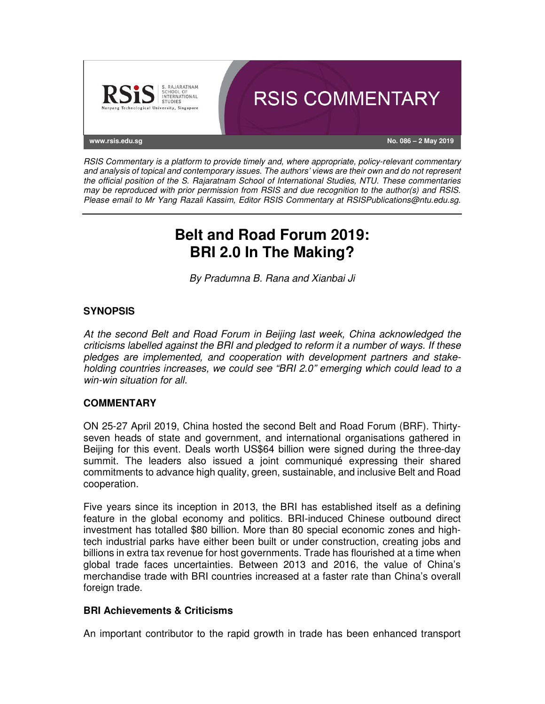

RSIS Commentary is a platform to provide timely and, where appropriate, policy-relevant commentary and analysis of topical and contemporary issues. The authors' views are their own and do not represent the official position of the S. Rajaratnam School of International Studies, NTU. These commentaries may be reproduced with prior permission from RSIS and due recognition to the author(s) and RSIS. Please email to Mr Yang Razali Kassim, Editor RSIS Commentary at RSISPublications@ntu.edu.sg.

# **Belt and Road Forum 2019: BRI 2.0 In The Making?**

By Pradumna B. Rana and Xianbai Ji

### **SYNOPSIS**

At the second Belt and Road Forum in Beijing last week, China acknowledged the criticisms labelled against the BRI and pledged to reform it a number of ways. If these pledges are implemented, and cooperation with development partners and stakeholding countries increases, we could see "BRI 2.0" emerging which could lead to a win-win situation for all.

## **COMMENTARY**

ON 25-27 April 2019, China hosted the second Belt and Road Forum (BRF). Thirtyseven heads of state and government, and international organisations gathered in Beijing for this event. Deals worth US\$64 billion were signed during the three-day summit. The leaders also issued a joint communiqué expressing their shared commitments to advance high quality, green, sustainable, and inclusive Belt and Road cooperation.

Five years since its inception in 2013, the BRI has established itself as a defining feature in the global economy and politics. BRI-induced Chinese outbound direct investment has totalled \$80 billion. More than 80 special economic zones and hightech industrial parks have either been built or under construction, creating jobs and billions in extra tax revenue for host governments. Trade has flourished at a time when global trade faces uncertainties. Between 2013 and 2016, the value of China's merchandise trade with BRI countries increased at a faster rate than China's overall foreign trade.

#### **BRI Achievements & Criticisms**

An important contributor to the rapid growth in trade has been enhanced transport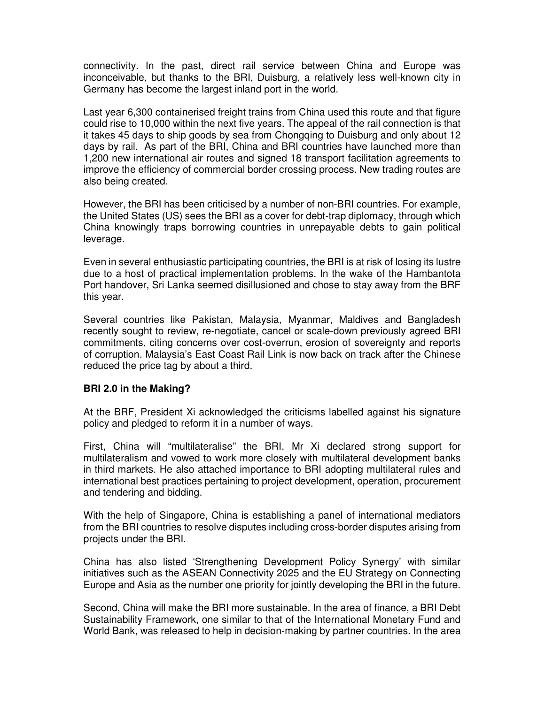connectivity. In the past, direct rail service between China and Europe was inconceivable, but thanks to the BRI, Duisburg, a relatively less well-known city in Germany has become the largest inland port in the world.

Last year 6,300 containerised freight trains from China used this route and that figure could rise to 10,000 within the next five years. The appeal of the rail connection is that it takes 45 days to ship goods by sea from Chongqing to Duisburg and only about 12 days by rail. As part of the BRI, China and BRI countries have launched more than 1,200 new international air routes and signed 18 transport facilitation agreements to improve the efficiency of commercial border crossing process. New trading routes are also being created.

However, the BRI has been criticised by a number of non-BRI countries. For example, the United States (US) sees the BRI as a cover for debt-trap diplomacy, through which China knowingly traps borrowing countries in unrepayable debts to gain political leverage.

Even in several enthusiastic participating countries, the BRI is at risk of losing its lustre due to a host of practical implementation problems. In the wake of the Hambantota Port handover, Sri Lanka seemed disillusioned and chose to stay away from the BRF this year.

Several countries like Pakistan, Malaysia, Myanmar, Maldives and Bangladesh recently sought to review, re-negotiate, cancel or scale-down previously agreed BRI commitments, citing concerns over cost-overrun, erosion of sovereignty and reports of corruption. Malaysia's East Coast Rail Link is now back on track after the Chinese reduced the price tag by about a third.

#### **BRI 2.0 in the Making?**

At the BRF, President Xi acknowledged the criticisms labelled against his signature policy and pledged to reform it in a number of ways.

First, China will "multilateralise" the BRI. Mr Xi declared strong support for multilateralism and vowed to work more closely with multilateral development banks in third markets. He also attached importance to BRI adopting multilateral rules and international best practices pertaining to project development, operation, procurement and tendering and bidding.

With the help of Singapore, China is establishing a panel of international mediators from the BRI countries to resolve disputes including cross-border disputes arising from projects under the BRI.

China has also listed 'Strengthening Development Policy Synergy' with similar initiatives such as the ASEAN Connectivity 2025 and the EU Strategy on Connecting Europe and Asia as the number one priority for jointly developing the BRI in the future.

Second, China will make the BRI more sustainable. In the area of finance, a BRI Debt Sustainability Framework, one similar to that of the International Monetary Fund and World Bank, was released to help in decision-making by partner countries. In the area